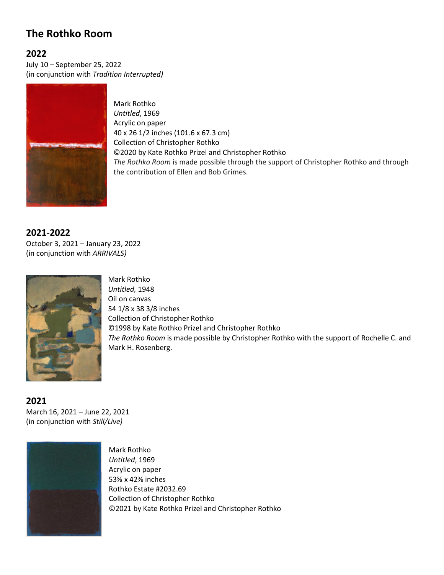## **The Rothko Room**

## **2022**

July 10 – September 25, 2022 (in conjunction with *Tradition Interrupted)*



Mark Rothko *Untitled*, 1969 Acrylic on paper 40 x 26 1/2 inches (101.6 x 67.3 cm) Collection of Christopher Rothko ©2020 by Kate Rothko Prizel and Christopher Rothko *The Rothko Room* is made possible through the support of Christopher Rothko and through the contribution of Ellen and Bob Grimes.

## **2021-2022**

October 3, 2021 – January 23, 2022 (in conjunction with *ARRIVALS)*



Mark Rothko *Untitled,* 1948 Oil on canvas 54 1/8 x 38 3/8 inches Collection of Christopher Rothko ©1998 by Kate Rothko Prizel and Christopher Rothko *The Rothko Room* is made possible by Christopher Rothko with the support of Rochelle C. and Mark H. Rosenberg.

**2021** March 16, 2021 – June 22, 2021 (in conjunction with *Still/Live)*



Mark Rothko *Untitled*, 1969 Acrylic on paper 53⅝ x 42⅜ inches Rothko Estate #2032.69 Collection of Christopher Rothko ©2021 by Kate Rothko Prizel and Christopher Rothko